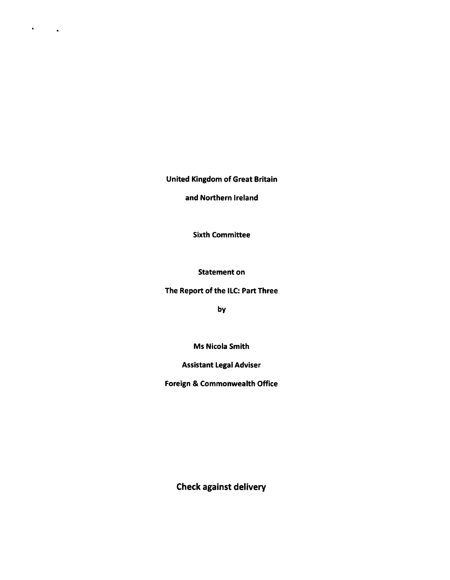# United Kingdom of Great Britain

 $\epsilon_{\rm{max}}$ 

and Northern Ireland

Sixth Committee

Statement on

The Report of the ILC: Part Three

by

Ms Nicola Smith

Assistant Legal Adviser

Foreign & Commonwealth Office

Check against delivery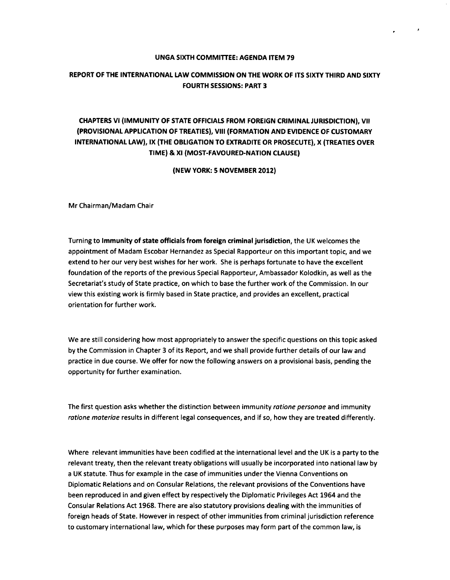#### **UNGA SIXTH COMMITTEE: AGENDA ITEM 79**

## **REPORT OF THE INTERNATIONAL LAW COMMISSION ON THE WORK OF ITS SIXTY THIRD AND SIXTY FOURTH SESSIONS: PART 3**

## **CHAPTERS VI (IMMUNITY OF STATE OFFICIALS FROM FOREIGN CRIMINAL JURISDICTION), VII (PROVISIONAL APPLICATION OF TREATIES), VIII (FORMATION AND EVIDENCE OF CUSTOMARY INTERNATIONAL LAW), IX (THE OBLIGATION TO EXTRADITE OR PROSECUTE), X (TREATIES OVER TIME)** & **XI (MOST-FAVOURED-NATION CLAUSE)**

**(NEW YORK: 5 NOVEMBER 2012)** 

Mr Chairman/Madam Chair

Turning to **Immunity of state officials from foreign criminal jurisdiction,** the UK welcomes the appointment of Madam Escobar Hernandez as Special Rapporteur on this important topic, and we extend to her our very best wishes for her work. She is perhaps fortunate to have the excellent foundation of the reports of the previous Special Rapporteur, Ambassador Kolodkin, as well as the Secretariat's study of State practice, on which to base the further work of the Commission. In our view this existing work is firmly based in State practice, and provides an excellent, practical orientation for further work.

We are still considering how most appropriately to answer the specific questions on this topic asked by the Commission in Chapter 3 of its Report, and we shall provide further details of our law and practice in due course. We offer for now the following answers on a provisional basis, pending the opportunity for further examination.

The first question asks whether the distinction between immunity *ratione personae* and immunity *ratione materiae* results in different legal consequences, and if so, how they are treated differently.

Where relevant immunities have been codified at the international level and the UK is a party to the relevant treaty, then the relevant treaty obligations will usually be incorporated into national law by a UK statute. Thus for example in the case of immunities under the Vienna Conventions on Diplomatic Relations and on Consular Relations, the relevant provisions of the Conventions have been reproduced in and given effect by respectively the Diplomatic Privileges Act 1964 and the Consular Relations Act 1968. There are also statutory provisions dealing with the immunities of foreign heads of State. However in respect of other immunities from criminal jurisdiction reference to customary international law, which for these purposes may form part of the common law, is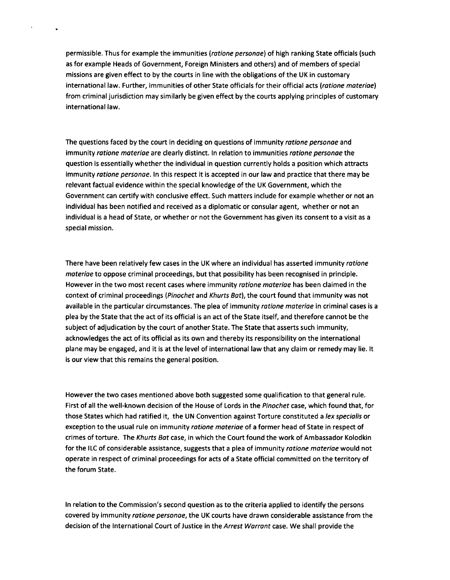permissible. Thus for example the immunities (ratione personae) of high ranking State officials (such as for example Heads of Government, Foreign Ministers and others) and of members of special missions are given effect to by the courts in line with the obligations of the UK in customary international law. Further, immunities of other State officials for their official acts (ratione materiae) from criminal jurisdiction may similarly be given effect by the courts applying principles of customary international law.

 $\bullet$ 

The questions faced by the court in deciding on questions of immunity ratione personae and immunity ratione materiae are clearly distinct. In relation to immunities ratione personae the question is essentially whether the individual in question currently holds a position which attracts immunity ratione personae. In this respect it is accepted in our law and practice that there may be relevant factual evidence within the special knowledge of the UK Government, which the Government can certify with conclusive effect. Such matters include for example whether or not an individual has been notified and received as a diplomatic or consular agent, whether or not an individual is a head of State, or whether or not the Government has given its consent to a visit as a special mission.

There have been relatively few cases in the UK where an individual has asserted immunity ratione materiae to oppose criminal proceedings, but that possibility has been recognised in principle. However in the two most recent cases where immunity ratione materiae has been claimed in the context of criminal proceedings (Pinochet and Khurts Bat), the court found that immunity was not available in the particular circumstances. The plea of immunity ratione materiae in criminal cases is a plea by the State that the act of its official is an act of the State itself, and therefore cannot be the subject of adjudication by the court of another State. The State that asserts such immunity, acknowledges the act of its official as its own and thereby its responsibility on the international plane may be engaged, and it is at the level of international law that any claim or remedy may lie. It is our view that this remains the general position.

However the two cases mentioned above both suggested some qualification to that general rule. First of all the well-known decision of the House of Lords in the Pinochet case, which found that, for those States which had ratified it, the UN Convention against Torture constituted a lex specialis or exception to the usual rule on immunity ratione materiae of a former head of State in respect of crimes of torture. The Khurts Bat case, in which the Court found the work of Ambassador Kolodkin for the ILC of considerable assistance, suggests that a plea of immunity ratione materiae would not operate in respect of criminal proceedings for acts of a State official committed on the territory of the forum State.

In relation to the Commission's second question as to the criteria applied to identify the persons covered by immunity ratione personae, the UK courts have drawn considerable assistance from the decision of the International Court of Justice in the Arrest Warrant case. We shall provide the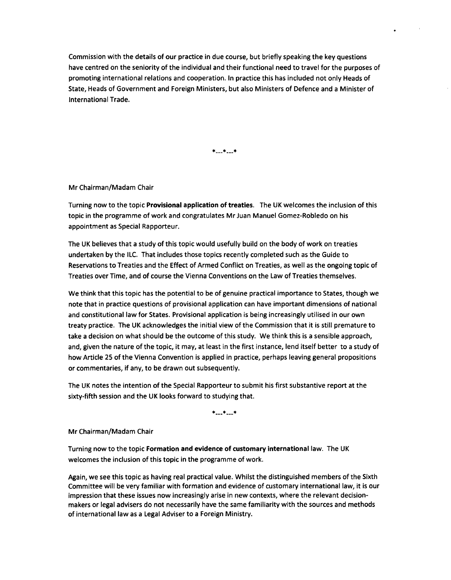Commission with the details of our practice in due course, but briefly speaking the key questions have centred on the seniority of the individual and their functional need to travel for the purposes of promoting international relations and cooperation. In practice this has included not only Heads of State, Heads of Government and Foreign Ministers, but also Ministers of Defence and a Minister of International Trade.

\*---\*---\*

#### Mr Chairman/Madam Chair

Turning now to the topic **Provisional application of treaties.** The UK welcomes the inclusion of this topic in the programme of work and congratulates Mr Juan Manuel Gomez-Robledo on his appointment as Special Rapporteur.

The UK believes that a study of this topic would usefully build on the body of work on treaties undertaken by the ILC. That includes those topics recently completed such as the Guide to Reservations to Treaties and the Effect of Armed Conflict on Treaties, as well as the ongoing topic of Treaties over Time, and of course the Vienna Conventions on the Law of Treaties themselves.

We think that this topic has the potential to be of genuine practical importance to States, though we note that in practice questions of provisional application can have important dimensions of national and constitutional law for States. Provisional application is being increasingly utilised in our own treaty practice. The UK acknowledges the initial view of the Commission that it is still premature to take a decision on what should be the outcome of this study. We think this is a sensible approach, and, given the nature of the topic, it may, at least in the first instance, lend itself better to a study of how Article 25 of the Vienna Convention is applied in practice, perhaps leaving general propositions or commentaries, if any, to be drawn out subsequently.

The UK notes the intention of the Special Rapporteur to submit his first substantive report at the sixty-fifth session and the UK looks forward to studying that.

 $*...*...*$ 

Mr Chairman/Madam Chair

Turning now to the topic **Formation and evidence of customary international** law. The UK welcomes the inclusion of this topic in the programme of work.

Again, we see this topic as having real practical value. Whilst the distinguished members of the Sixth Committee will be very familiar with formation and evidence of customary international law, it is our impression that these issues now increasingly arise in new contexts, where the relevant decisionmakers or legal advisers do not necessarily have the same familiarity with the sources and methods of international law as a Legal Adviser to a Foreign Ministry.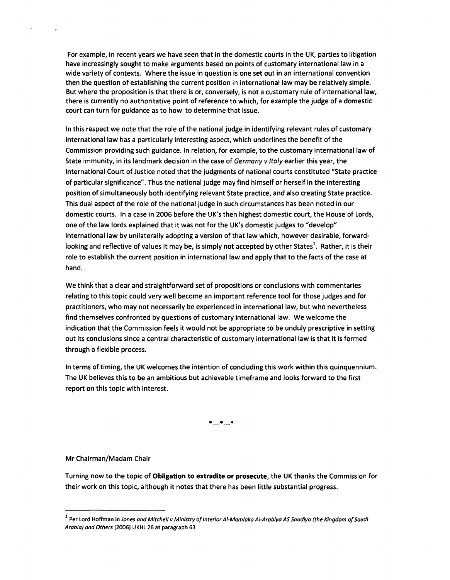For example, in recent years we have seen that in the domestic courts in the UK, parties to litigation have increasingly sought to make arguments based on points of customary international law in a wide variety of contexts. Where the issue in question is one set out in an international convention then the question of establishing the current position in international law may be relatively simple. But where the proposition is that there is or, conversely, is not a customary rule of international law, there is currently no authoritative point of reference to which, for example the judge of a domestic court can turn for guidance as to how to determine that issue.

In this respect we note that the role of the national judge in identifying relevant rules of customary international law has a particularly interesting aspect, which underlines the benefit of the Commission providing such guidance. In relation, for example, to the customary international law of State immunity, in its landmark decision in the case of Germany v Italy earlier this year, the International Court of Justice noted that the judgments of national courts constituted "State practice of particular significance". Thus the national judge may find himself or herself in the interesting position of simultaneously both identifying relevant State practice, and also creating State practice. This dual aspect of the role of the national judge in such circumstances has been noted in our domestic courts. In a case in 2006 before the UK's then highest domestic court, the House of Lords, one of the law lords explained that it was not for the UK's domestic judges to "develop" international law by unilaterally adopting a version of that law which, however desirable, forwardlooking and reflective of values it may be, is simply not accepted by other States<sup>1</sup>. Rather, it is their role to establish the current position in international law and apply that to the facts of the case at hand.

We think that a clear and straightforward set of propositions or conclusions with commentaries relating to this topic could very well become an important reference tool for those judges and for practitioners, who may not necessarily be experienced in international law, but who nevertheless find themselves confronted by questions of customary international law. We welcome the indication that the Commission feels it would not be appropriate to be unduly prescriptive in setting out its conclusions since a central characteristic of customary international law is that it is formed through a flexible process.

In terms of timing, the UK welcomes the intention of concluding this work within this quinquennium. The UK believes this to be an ambitious but achievable timeframe and looks forward to the first report on this topic with interest.

 $*...*...*$ 

Mr Chairman/Madam Chair

Turning now to the topic of **Obligation to extradite or prosecute,** the UK thanks the Commission for their work on this topic, although it notes that there has been little substantial progress.

 $^1$  Per Lord Hoffman in Jones and Mitchell v Ministry of Interior Al-Mamlaka Al-Arabiya AS Saudiya (the Kingdom of Saudi Arabia) and Others [2006) UKHL 26 at paragraph 63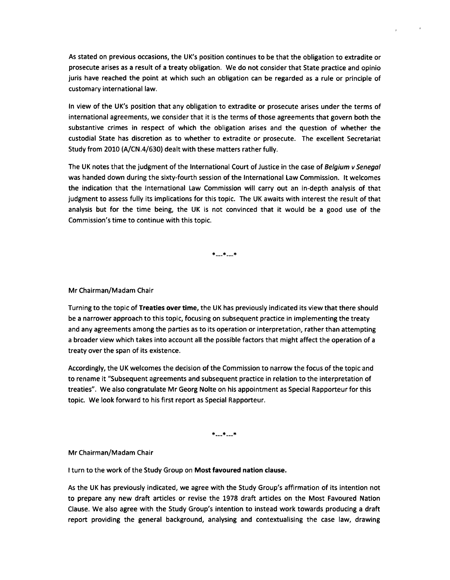As stated on previous occasions, the UK's position continues to be that the obligation to extradite or prosecute arises as a result of a treaty obligation. We do not consider that State practice and opinio juris have reached the point at which such an obligation can be regarded as a rule or principle of customary international law.

In view of the UK's position that any obligation to extradite or prosecute arises under the terms of international agreements, we consider that it is the terms of those agreements that govern both the substantive crimes in respect of which the obligation arises and the question of whether the custodial State has discretion as to whether to extradite or prosecute. The excellent Secretariat Study from 2010 (A/CN.4/630) dealt with these matters rather fully.

The UK notes that the judgment of the International Court of Justice in the case of Belgium v Senegal was handed down during the sixty-fourth session of the International Law Commission. It welcomes the indication that the International Law Commission will carry out an in-depth analysis of that judgment to assess fully its implications for this topic. The UK awaits with interest the result of that analysis but for the time being, the UK is not convinced that it would be a good use of the Commission's time to continue with this topic.

\*---\*---\*

### Mr Chairman/Madam Chair

Turning to the topic of **Treaties over time,** the UK has previously indicated its view that there should be a narrower approach to this topic, focusing on subsequent practice in implementing the treaty and any agreements among the parties as to its operation or interpretation, rather than attempting a broader view which takes into account all the possible factors that might affect the operation of a treaty over the span of its existence.

Accordingly, the UK welcomes the decision of the Commission to narrow the focus of the topic and to rename it "Subsequent agreements and subsequent practice in relation to the interpretation of treaties". We also congratulate Mr Georg Nolte on his appointment as Special Rapporteur for this topic. We look forward to his first report as Special Rapporteur.

 $*...*...*$ 

### Mr Chairman/Madam Chair

I turn to the work of the Study Group on **Most favoured nation clause.** 

As the UK has previously indicated, we agree with the Study Group's affirmation of its intention not to prepare any new draft articles or revise the 1978 draft articles on the Most Favoured Nation Clause. We also agree with the Study Group's intention to instead work towards producing a draft report providing the general background, analysing and contextualising the case law, drawing